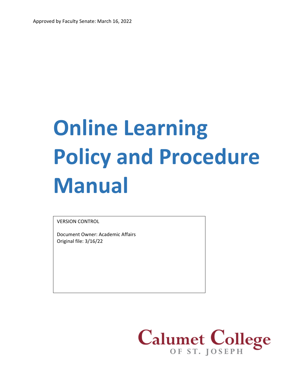# **Online Learning Policy and Procedure Manual**

VERSION CONTROL

Document Owner: Academic Affairs Original file: 3/16/22

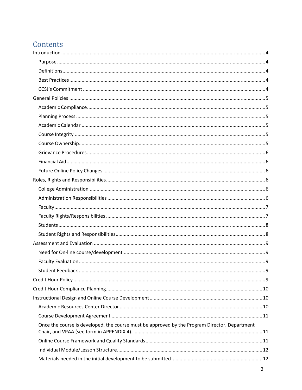# Contents

| Once the course is developed, the course must be approved by the Program Director, Department |  |
|-----------------------------------------------------------------------------------------------|--|
|                                                                                               |  |
|                                                                                               |  |
|                                                                                               |  |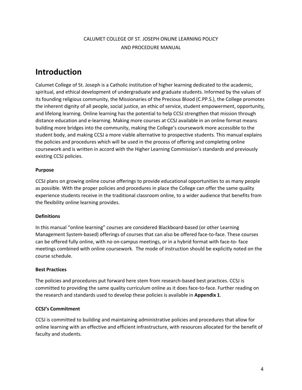# CALUMET COLLEGE OF ST. JOSEPH ONLINE LEARNING POLICY AND PROCEDURE MANUAL

# **Introduction**

Calumet College of St. Joseph is a Catholic institution of higher learning dedicated to the academic, spiritual, and ethical development of undergraduate and graduate students. Informed by the values of its founding religious community, the Missionaries of the Precious Blood (C.PP.S.), the College promotes the inherent dignity of all people, social justice, an ethic of service, student empowerment, opportunity, and lifelong learning. Online learning has the potential to help CCSJ strengthen that mission through distance education and e‐learning. Making more courses at CCSJ available in an online format means building more bridges into the community, making the College's coursework more accessible to the student body, and making CCSJ a more viable alternative to prospective students. This manual explains the policies and procedures which will be used in the process of offering and completing online coursework and is written in accord with the Higher Learning Commission's standards and previously existing CCSJ policies.

## **Purpose**

CCSJ plans on growing online course offerings to provide educational opportunities to as many people as possible. With the proper policies and procedures in place the College can offer the same quality experience students receive in the traditional classroom online, to a wider audience that benefits from the flexibility online learning provides.

## **Definitions**

In this manual "online learning" courses are considered Blackboard‐based (or other Learning Management System‐based) offerings of courses that can also be offered face‐to‐face. These courses can be offered fully online, with no on‐campus meetings, or in a hybrid format with face‐to‐ face meetings combined with online coursework. The mode of instruction should be explicitly noted on the course schedule.

## **Best Practices**

The policies and procedures put forward here stem from research‐based best practices. CCSJ is committed to providing the same quality curriculum online as it does face-to-face. Further reading on the research and standards used to develop these policies is available in **Appendix 1**.

# **CCSJ's Commitment**

CCSJ is committed to building and maintaining administrative policies and procedures that allow for online learning with an effective and efficient infrastructure, with resources allocated for the benefit of faculty and students.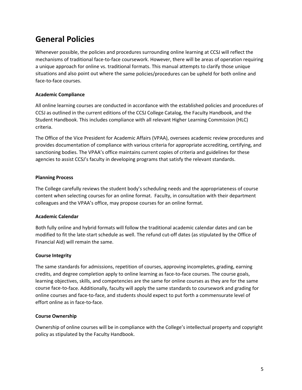# **General Policies**

Whenever possible, the policies and procedures surrounding online learning at CCSJ will reflect the mechanisms of traditional face‐to‐face coursework. However, there will be areas of operation requiring a unique approach for online vs. traditional formats. This manual attempts to clarify those unique situations and also point out where the same policies/procedures can be upheld for both online and face‐to‐face courses.

## **Academic Compliance**

All online learning courses are conducted in accordance with the established policies and procedures of CCSJ as outlined in the current editions of the CCSJ College Catalog, the Faculty Handbook, and the Student Handbook. This includes compliance with all relevant Higher Learning Commission (HLC) criteria.

The Office of the Vice President for Academic Affairs (VPAA), oversees academic review procedures and provides documentation of compliance with various criteria for appropriate accrediting, certifying, and sanctioning bodies. The VPAA's office maintains current copies of criteria and guidelines for these agencies to assist CCSJ's faculty in developing programs that satisfy the relevant standards.

## **Planning Process**

The College carefully reviews the student body's scheduling needs and the appropriateness of course content when selecting courses for an online format. Faculty, in consultation with their department colleagues and the VPAA's office, may propose courses for an online format.

## **Academic Calendar**

Both fully online and hybrid formats will follow the traditional academic calendar dates and can be modified to fit the late-start schedule as well. The refund cut-off dates (as stipulated by the Office of Financial Aid) will remain the same.

## **Course Integrity**

The same standards for admissions, repetition of courses, approving incompletes, grading, earning credits, and degree completion apply to online learning as face-to-face courses. The course goals, learning objectives, skills, and competencies are the same for online courses as they are for the same course face‐to‐face. Additionally, faculty will apply the same standards to coursework and grading for online courses and face‐to‐face, and students should expect to put forth a commensurate level of effort online as in face‐to‐face.

## **Course Ownership**

Ownership of online courses will be in compliance with the College's intellectual property and copyright policy as stipulated by the Faculty Handbook.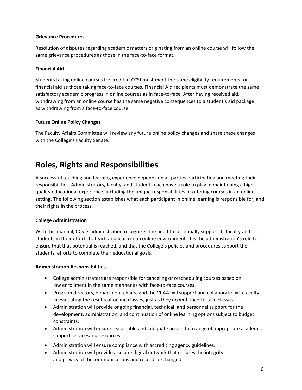#### **Grievance Procedures**

Resolution of disputes regarding academic matters originating from an online course will follow the same grievance procedures as those in the face-to-face format.

## **Financial Aid**

Students taking online courses for credit at CCSJ must meet the same eligibility requirements for financial aid as those taking face‐to‐face courses. Financial Aid recipients must demonstrate the same satisfactory academic progress in online courses as in face-to-face. After having received aid, withdrawing from an online course has the same negative consequences to a student's aid package as withdrawing from a face-to-face course.

### **Future Online Policy Changes**

The Faculty Affairs Committee will review any future online policy changes and share these changes with the College's Faculty Senate.

# **Roles, Rights and Responsibilities**

A successful teaching and learning experience depends on all parties participating and meeting their responsibilities. Administrators, faculty, and students each have a role to play in maintaining a high‐ quality educational experience, including the unique responsibilities of offering courses in an online setting. The following section establishes what each participant in online learning is responsible for, and their rights in the process.

## **College Administration**

With this manual, CCSJ's administration recognizes the need to continually support its faculty and students in their efforts to teach and learn in an online environment. It is the administration's role to ensure that that potential is reached, and that the College's policies and procedures support the students' efforts to complete their educational goals.

#### **Administration Responsibilities**

- College administrators are responsible for canceling or rescheduling courses based on low enrollment in the same manner as with face-to-face courses.
- Program directors, department chairs, and the VPAA will support and collaborate with faculty in evaluating the results of online classes, just as they do with face-to-face classes.
- Administration will provide ongoing financial, technical, and personnel support for the development, administration, and continuation of online learning options subject to budget constraints.
- Administration will ensure reasonable and adequate access to a range of appropriate academic support servicesand resources.
- Administration will ensure compliance with accrediting agency guidelines.
- Administration will provide a secure digital network that ensures the integrity and privacy of thecommunications and records exchanged.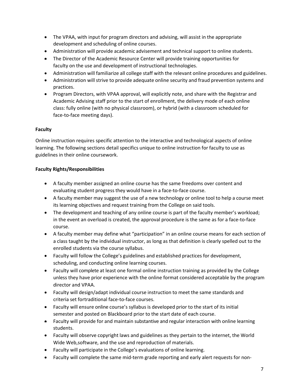- The VPAA, with input for program directors and advising, will assist in the appropriate development and scheduling of online courses.
- Administration will provide academic advisement and technical support to online students.
- The Director of the Academic Resource Center will provide training opportunities for faculty on the use and development of instructional technologies.
- Administration will familiarize all college staff with the relevant online procedures and guidelines.
- Administration will strive to provide adequate online security and fraud prevention systems and practices.
- Program Directors, with VPAA approval, will explicitly note, and share with the Registrar and Academic Advising staff prior to the start of enrollment, the delivery mode of each online class: fully online (with no physical classroom), or hybrid (with a classroom scheduled for face‐to‐face meeting days).

### **Faculty**

Online instruction requires specific attention to the interactive and technological aspects of online learning. The following sections detail specifics unique to online instruction for faculty to use as guidelines in their online coursework.

### **Faculty Rights/Responsibilities**

- A faculty member assigned an online course has the same freedoms over content and evaluating student progress they would have in a face‐to‐face course.
- A faculty member may suggest the use of a new technology or online tool to help a course meet its learning objectives and request training from the College on said tools.
- The development and teaching of any online course is part of the faculty member's workload; in the event an overload is created, the approval procedure is the same as for a face-to-face course.
- A faculty member may define what "participation" in an online course means for each section of a class taught by the individual instructor, as long as that definition is clearly spelled out to the enrolled students via the course syllabus.
- Faculty will follow the College's guidelines and established practices for development, scheduling, and conducting online learning courses.
- Faculty will complete at least one formal online instruction training as provided by the College unless they have prior experience with the online format considered acceptable by the program director and VPAA.
- Faculty will design/adapt individual course instruction to meet the same standards and criteria set fortraditional face‐to‐face courses.
- Faculty will ensure online course's syllabus is developed prior to the start of its initial semester and posted on Blackboard prior to the start date of each course.
- Faculty will provide for and maintain substantive and regular interaction with online learning students.
- Faculty will observe copyright laws and guidelines as they pertain to the internet, the World Wide Web,software, and the use and reproduction of materials.
- Faculty will participate in the College's evaluations of online learning.
- Faculty will complete the same mid-term grade reporting and early alert requests for non-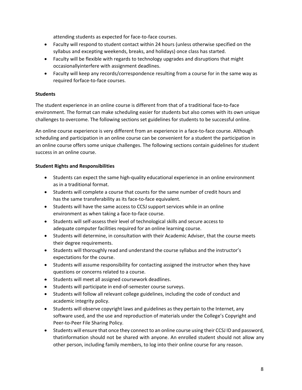attending students as expected for face‐to‐face courses.

- Faculty will respond to student contact within 24 hours (unless otherwise specified on the syllabus and excepting weekends, breaks, and holidays) once class has started.
- Faculty will be flexible with regards to technology upgrades and disruptions that might occasionallyinterfere with assignment deadlines.
- Faculty will keep any records/correspondence resulting from a course for in the same way as required forface‐to‐face courses.

## **Students**

The student experience in an online course is different from that of a traditional face‐to‐face environment. The format can make scheduling easier for students but also comes with its own unique challenges to overcome. The following sections set guidelines for students to be successful online.

An online course experience is very different from an experience in a face-to-face course. Although scheduling and participation in an online course can be convenient for a student the participation in an online course offers some unique challenges. The following sections contain guidelines for student success in an online course.

### **Student Rights and Responsibilities**

- Students can expect the same high‐quality educational experience in an online environment as in a traditional format.
- Students will complete a course that counts for the same number of credit hours and has the same transferability as its face-to-face equivalent.
- Students will have the same access to CCSJ support services while in an online environment as when taking a face‐to‐face course.
- Students will self‐assess their level of technological skills and secure access to adequate computer facilities required for an online learning course.
- Students will determine, in consultation with their Academic Adviser, that the course meets their degree requirements.
- Students will thoroughly read and understand the course syllabus and the instructor's expectations for the course.
- Students will assume responsibility for contacting assigned the instructor when they have questions or concerns related to a course.
- **Students will meet all assigned coursework deadlines.**
- Students will participate in end-of-semester course surveys.
- Students will follow all relevant college guidelines, including the code of conduct and academic integrity policy.
- Students will observe copyright laws and guidelines as they pertain to the Internet, any software used, and the use and reproduction of materials under the College's Copyright and Peer‐to‐Peer File Sharing Policy.
- Students will ensure that once they connect to an online course using their CCSJ ID and password, thatinformation should not be shared with anyone. An enrolled student should not allow any other person, including family members, to log into their online course for any reason.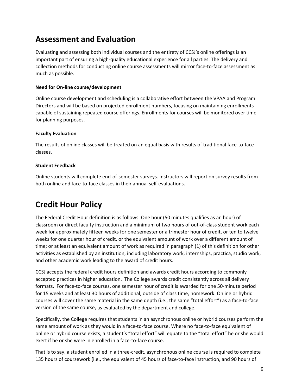# **Assessment and Evaluation**

Evaluating and assessing both individual courses and the entirety of CCSJ's online offerings is an important part of ensuring a high‐quality educational experience for all parties. The delivery and collection methods for conducting online course assessments will mirror face‐to‐face assessment as much as possible.

## **Need for On‐line course/development**

Online course development and scheduling is a collaborative effort between the VPAA and Program Directors and will be based on projected enrollment numbers, focusing on maintaining enrollments capable of sustaining repeated course offerings. Enrollments for courses will be monitored over time for planning purposes.

### **Faculty Evaluation**

The results of online classes will be treated on an equal basis with results of traditional face‐to‐face classes.

### **Student Feedback**

Online students will complete end‐of‐semester surveys. Instructors will report on survey results from both online and face‐to‐face classes in their annual self‐evaluations.

# **Credit Hour Policy**

The Federal Credit Hour definition is as follows: One hour (50 minutes qualifies as an hour) of classroom or direct faculty instruction and a minimum of two hours of out‐of‐class student work each week for approximately fifteen weeks for one semester or a trimester hour of credit, or ten to twelve weeks for one quarter hour of credit, or the equivalent amount of work over a different amount of time; or at least an equivalent amount of work as required in paragraph (1) of this definition for other activities as established by an institution, including laboratory work, internships, practica, studio work, and other academic work leading to the award of credit hours.

CCSJ accepts the federal credit hours definition and awards credit hours according to commonly accepted practices in higher education. The College awards credit consistently across all delivery formats. For face‐to‐face courses, one semester hour of credit is awarded for one 50‐minute period for 15 weeks and at least 30 hours of additional, outside of class time, homework. Online or hybrid courses will cover the same material in the same depth (i.e., the same "total effort") as a face‐to‐face version of the same course, as evaluated by the department and college.

Specifically, the College requires that students in an asynchronous online or hybrid courses perform the same amount of work as they would in a face-to-face course. Where no face-to-face equivalent of online or hybrid course exists, a student's "total effort" will equate to the "total effort" he or she would exert if he or she were in enrolled in a face-to-face course.

That is to say, a student enrolled in a three‐credit, asynchronous online course is required to complete 135 hours of coursework (i.e., the equivalent of 45 hours of face‐to‐face instruction, and 90 hours of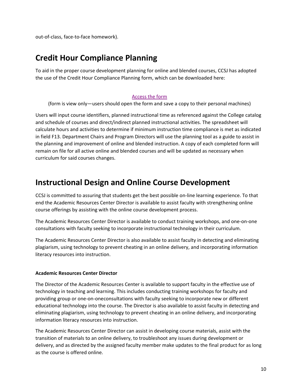out‐of‐class, face‐to‐face homework).

# **Credit Hour Compliance Planning**

To aid in the proper course development planning for online and blended courses, CCSJ has adopted the use of the Credit Hour Compliance Planning form, which can be downloaded here:

#### Access the form

(form is view only—users should open the form and save a copy to their personal machines)

Users will input course identifiers, planned instructional time as referenced against the College catalog and schedule of courses and direct/indirect planned instructional activities. The spreadsheet will calculate hours and activities to determine if minimum instruction time compliance is met as indicated in field F13. Department Chairs and Program Directors will use the planning tool as a guide to assist in the planning and improvement of online and blended instruction. A copy of each completed form will remain on file for all active online and blended courses and will be updated as necessary when curriculum for said courses changes.

# **Instructional Design and Online Course Development**

CCSJ is committed to assuring that students get the best possible on‐line learning experience. To that end the Academic Resources Center Director is available to assist faculty with strengthening online course offerings by assisting with the online course development process.

The Academic Resources Center Director is available to conduct training workshops, and one‐on‐one consultations with faculty seeking to incorporate instructional technology in their curriculum.

The Academic Resources Center Director is also available to assist faculty in detecting and eliminating plagiarism, using technology to prevent cheating in an online delivery, and incorporating information literacy resources into instruction.

#### **Academic Resources Center Director**

The Director of the Academic Resources Center is available to support faculty in the effective use of technology in teaching and learning. This includes conducting training workshops for faculty and providing group or one‐on‐oneconsultations with faculty seeking to incorporate new or different educational technology into the course. The Director is also available to assist faculty in detecting and eliminating plagiarism, using technology to prevent cheating in an online delivery, and incorporating information literacy resources into instruction.

The Academic Resources Center Director can assist in developing course materials, assist with the transition of materials to an online delivery, to troubleshoot any issues during development or delivery, and as directed by the assigned faculty member make updates to the final product for as long as the course is offered online.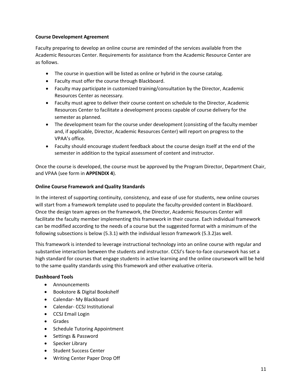#### **Course Development Agreement**

Faculty preparing to develop an online course are reminded of the services available from the Academic Resources Center. Requirements for assistance from the Academic Resource Center are as follows.

- The course in question will be listed as online or hybrid in the course catalog.
- Faculty must offer the course through Blackboard.
- Faculty may participate in customized training/consultation by the Director, Academic Resources Center as necessary.
- Faculty must agree to deliver their course content on schedule to the Director, Academic Resources Center to facilitate a development process capable of course delivery for the semester as planned.
- The development team for the course under development (consisting of the faculty member and, if applicable, Director, Academic Resources Center) will report on progress to the VPAA's office.
- Faculty should encourage student feedback about the course design itself at the end of the semester in addition to the typical assessment of content and instructor.

Once the course is developed, the course must be approved by the Program Director, Department Chair, and VPAA (see form in **APPENDIX 4**).

#### **Online Course Framework and Quality Standards**

In the interest of supporting continuity, consistency, and ease of use for students, new online courses will start from a framework template used to populate the faculty-provided content in Blackboard. Once the design team agrees on the framework, the Director, Academic Resources Center will facilitate the faculty member implementing this framework in their course. Each individual framework can be modified according to the needs of a course but the suggested format with a minimum of the following subsections is below (5.3.1) with the individual lesson framework (5.3.2)as well.

This framework is intended to leverage instructional technology into an online course with regular and substantive interaction between the students and instructor. CCSJ's face-to-face coursework has set a high standard for courses that engage students in active learning and the online coursework will be held to the same quality standards using this framework and other evaluative criteria.

#### **Dashboard Tools**

- Announcements
- Bookstore & Digital Bookshelf
- Calendar- My Blackboard
- Calendar- CCSJ Institutional
- CCSJ Email Login
- Grades
- Schedule Tutoring Appointment
- Settings & Password
- Specker Library
- Student Success Center
- Writing Center Paper Drop Off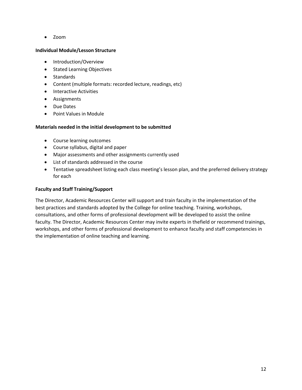Zoom

#### **Individual Module/Lesson Structure**

- Introduction/Overview
- Stated Learning Objectives
- Standards
- Content (multiple formats: recorded lecture, readings, etc)
- **•** Interactive Activities
- Assignments
- Due Dates
- Point Values in Module

### **Materials needed in the initial development to be submitted**

- Course learning outcomes
- Course syllabus, digital and paper
- Major assessments and other assignments currently used
- List of standards addressed in the course
- Tentative spreadsheet listing each class meeting's lesson plan, and the preferred delivery strategy for each

### **Faculty and Staff Training/Support**

The Director, Academic Resources Center will support and train faculty in the implementation of the best practices and standards adopted by the College for online teaching. Training, workshops, consultations, and other forms of professional development will be developed to assist the online faculty. The Director, Academic Resources Center may invite experts in thefield or recommend trainings, workshops, and other forms of professional development to enhance faculty and staff competencies in the implementation of online teaching and learning.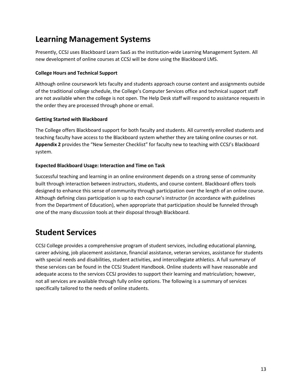# **Learning Management Systems**

Presently, CCSJ uses Blackboard Learn SaaS as the institution‐wide Learning Management System. All new development of online courses at CCSJ will be done using the Blackboard LMS.

## **College Hours and Technical Support**

Although online coursework lets faculty and students approach course content and assignments outside of the traditional college schedule, the College's Computer Services office and technical support staff are not available when the college is not open. The Help Desk staff will respond to assistance requests in the order they are processed through phone or email.

## **Getting Started with Blackboard**

The College offers Blackboard support for both faculty and students. All currently enrolled students and teaching faculty have access to the Blackboard system whether they are taking online courses or not. **Appendix 2** provides the "New Semester Checklist" for faculty new to teaching with CCSJ's Blackboard system.

## **Expected Blackboard Usage: Interaction and Time on Task**

Successful teaching and learning in an online environment depends on a strong sense of community built through interaction between instructors, students, and course content. Blackboard offers tools designed to enhance this sense of community through participation over the length of an online course. Although defining class participation is up to each course's instructor (in accordance with guidelines from the Department of Education), when appropriate that participation should be funneled through one of the many discussion tools at their disposal through Blackboard.

# **Student Services**

CCSJ College provides a comprehensive program of student services, including educational planning, career advising, job placement assistance, financial assistance, veteran services, assistance for students with special needs and disabilities, student activities, and intercollegiate athletics. A full summary of these services can be found in the CCSJ Student Handbook. Online students will have reasonable and adequate access to the services CCSJ provides to support their learning and matriculation; however, not all services are available through fully online options. The following is a summary of services specifically tailored to the needs of online students.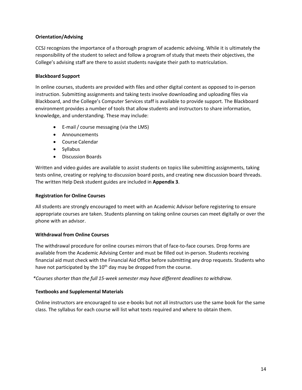## **Orientation/Advising**

CCSJ recognizes the importance of a thorough program of academic advising. While it is ultimately the responsibility of the student to select and follow a program of study that meets their objectives, the College's advising staff are there to assist students navigate their path to matriculation.

#### **Blackboard Support**

In online courses, students are provided with files and other digital content as opposed to in‐person instruction. Submitting assignments and taking tests involve downloading and uploading files via Blackboard, and the College's Computer Services staff is available to provide support. The Blackboard environment provides a number of tools that allow students and instructors to share information, knowledge, and understanding. These may include:

- E-mail / course messaging (via the LMS)
- Announcements
- Course Calendar
- Syllabus
- Discussion Boards

Written and video guides are available to assist students on topics like submitting assignments, taking tests online, creating or replying to discussion board posts, and creating new discussion board threads. The written Help Desk student guides are included in **Appendix 3**.

#### **Registration for Online Courses**

All students are strongly encouraged to meet with an Academic Advisor before registering to ensure appropriate courses are taken. Students planning on taking online courses can meet digitally or over the phone with an advisor.

#### **Withdrawal from Online Courses**

The withdrawal procedure for online courses mirrors that of face-to-face courses. Drop forms are available from the Academic Advising Center and must be filled out in-person. Students receiving financial aid must check with the Financial Aid Office before submitting any drop requests. Students who have not participated by the  $10<sup>th</sup>$  day may be dropped from the course.

*\*Courses shorter than the full 15‐week semester may have different deadlines to withdraw.*

#### **Textbooks and Supplemental Materials**

Online instructors are encouraged to use e‐books but not all instructors use the same book for the same class. The syllabus for each course will list what texts required and where to obtain them.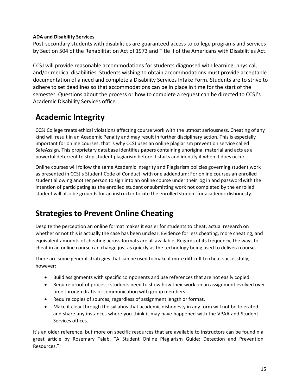## **ADA and Disability Services**

Post‐secondary students with disabilities are guaranteed access to college programs and services by Section 504 of the Rehabilitation Act of 1973 and Title II of the Americans with Disabilities Act.

CCSJ will provide reasonable accommodations for students diagnosed with learning, physical, and/or medical disabilities. Students wishing to obtain accommodations must provide acceptable documentation of a need and complete a Disability Services Intake Form. Students are to strive to adhere to set deadlines so that accommodations can be in place in time for the start of the semester. Questions about the process or how to complete a request can be directed to CCSJ's Academic Disability Services office.

# **Academic Integrity**

CCSJ College treats ethical violations affecting course work with the utmost seriousness. Cheating of any kind will result in an Academic Penalty and may result in further disciplinary action. This is especially important for online courses; that is why CCSJ uses an online plagiarism prevention service called SafeAssign. This proprietary database identifies papers containing unoriginal material and acts as a powerful deterrent to stop student plagiarism before it starts and identify it when it does occur.

Online courses will follow the same Academic Integrity and Plagiarism policies governing student work as presented in CCSJ's Student Code of Conduct, with one addendum: For online courses an enrolled student allowing another person to sign into an online course under their log in and password with the intention of participating as the enrolled student or submitting work not completed by the enrolled student will also be grounds for an instructor to cite the enrolled student for academic dishonesty.

# **Strategies to Prevent Online Cheating**

Despite the perception an online format makes it easier for students to cheat, actual research on whether or not this is actually the case has been unclear. Evidence for less cheating, more cheating, and equivalent amounts of cheating across formats are all available. Regards of its frequency, the ways to cheat in an online course can change just as quickly as the technology being used to delivera course.

There are some general strategies that can be used to make it more difficult to cheat successfully, however:

- Build assignments with specific components and use references that are not easily copied.
- Require proof of process: students need to show how their work on an assignment evolved over time through drafts or communication with group members.
- Require copies of sources, regardless of assignment length or format.
- Make it clear through the syllabus that academic dishonesty in any form will not be tolerated and share any instances where you think it may have happened with the VPAA and Student Services offices.

It's an older reference, but more on specific resources that are available to instructors can be foundin a great article by Rosemary Talab, "A Student Online Plagiarism Guide: Detection and Prevention Resources."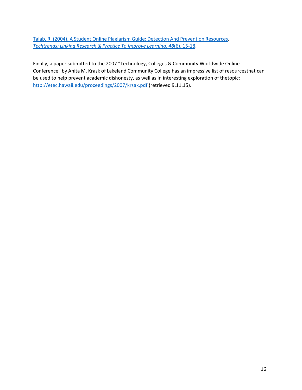Talab, R. (2004). A Student Online Plagiarism Guide: Detection And Prevention Resources. *Techtrends: Linking Research & Practice To Improve Learning*, *48*(6), 15‐18.

Finally, a paper submitted to the 2007 "Technology, Colleges & Community Worldwide Online Conference" by Anita M. Krask of Lakeland Community College has an impressive list of resourcesthat can be used to help prevent academic dishonesty, as well as in interesting exploration of thetopic: http://etec.hawaii.edu/proceedings/2007/krsak.pdf (retrieved 9.11.15).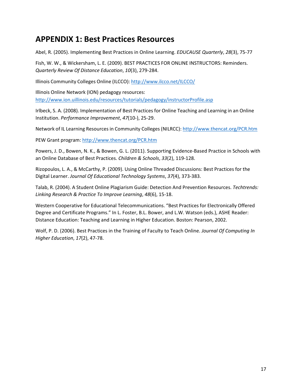# **APPENDIX 1: Best Practices Resources**

Abel, R. (2005). Implementing Best Practices in Online Learning. *EDUCAUSE Quarterly*, *28*(3), 75‐77

Fish, W. W., & Wickersham, L. E. (2009). BEST PRACTICES FOR ONLINE INSTRUCTORS: Reminders. *Quarterly Review Of Distance Education*, *10*(3), 279‐284.

Illinois Community Colleges Online (ILCCO): http://www.ilcco.net/ILCCO/

Illinois Online Network (ION) pedagogy resources: http://www.ion.uillinois.edu/resources/tutorials/pedagogy/instructorProfile.asp

Irlbeck, S. A. (2008). Implementation of Best Practices for Online Teaching and Learning in an Online Institution. *Performance Improvement*, *47*(10‐), 25‐29.

Network of IL Learning Resources in Community Colleges (NILRCC): http://www.thencat.org/PCR.htm

PEW Grant program: http://www.thencat.org/PCR.htm

Powers, J. D., Bowen, N. K., & Bowen, G. L. (2011). Supporting Evidence‐Based Practice in Schools with an Online Database of Best Practices. *Children & Schools*, *33*(2), 119‐128.

Rizopoulos, L. A., & McCarthy, P. (2009). Using Online Threaded Discussions: Best Practices for the Digital Learner. *Journal Of Educational Technology Systems*, *37*(4), 373‐383.

Talab, R. (2004). A Student Online Plagiarism Guide: Detection And Prevention Resources. *Techtrends: Linking Research & Practice To Improve Learning*, *48*(6), 15‐18.

Western Cooperative for Educational Telecommunications. "Best Practices for Electronically Offered Degree and Certificate Programs." In L. Foster, B.L. Bower, and L.W. Watson (eds.), ASHE Reader: Distance Education: Teaching and Learning in Higher Education. Boston: Pearson, 2002.

Wolf, P. D. (2006). Best Practices in the Training of Faculty to Teach Online. *Journal Of Computing In Higher Education*, *17*(2), 47‐78.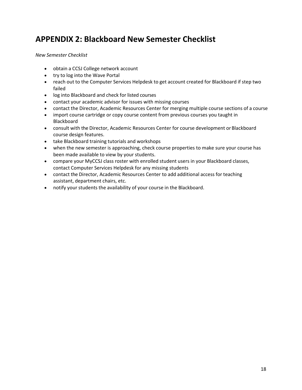# **APPENDIX 2: Blackboard New Semester Checklist**

*New Semester Checklist*

- obtain a CCSJ College network account
- try to log into the Wave Portal
- reach out to the Computer Services Helpdesk to get account created for Blackboard if step two failed
- log into Blackboard and check for listed courses
- contact your academic advisor for issues with missing courses
- contact the Director, Academic Resources Center for merging multiple course sections of a course
- import course cartridge or copy course content from previous courses you taught in Blackboard
- consult with the Director, Academic Resources Center for course development or Blackboard course design features.
- take Blackboard training tutorials and workshops
- when the new semester is approaching, check course properties to make sure your course has been made available to view by your students.
- compare your MyCCSJ class roster with enrolled student users in your Blackboard classes, contact Computer Services Helpdesk for any missing students
- contact the Director, Academic Resources Center to add additional access for teaching assistant, department chairs, etc.
- notify your students the availability of your course in the Blackboard.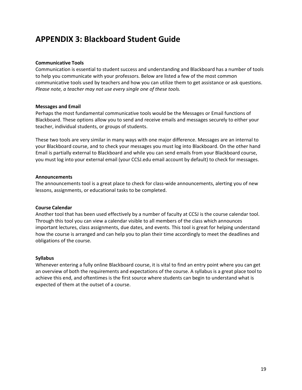# **APPENDIX 3: Blackboard Student Guide**

#### **Communicative Tools**

Communication is essential to student success and understanding and Blackboard has a number of tools to help you communicate with your professors. Below are listed a few of the most common communicative tools used by teachers and how you can utilize them to get assistance or ask questions. *Please note, a teacher may not use every single one of these tools.*

#### **Messages and Email**

Perhaps the most fundamental communicative tools would be the Messages or Email functions of Blackboard. These options allow you to send and receive emails and messages securely to either your teacher, individual students, or groups of students.

These two tools are very similar in many ways with one major difference. Messages are an internal to your Blackboard course, and to check your messages you must log into Blackboard. On the other hand Email is partially external to Blackboard and while you can send emails from your Blackboard course, you must log into your external email (your CCSJ.edu email account by default) to check for messages.

#### **Announcements**

The announcements tool is a great place to check for class-wide announcements, alerting you of new lessons, assignments, or educational tasks to be completed.

#### **Course Calendar**

Another tool that has been used effectively by a number of faculty at CCSJ is the course calendar tool. Through this tool you can view a calendar visible to all members of the class which announces important lectures, class assignments, due dates, and events. This tool is great for helping understand how the course is arranged and can help you to plan their time accordingly to meet the deadlines and obligations of the course.

#### **Syllabus**

Whenever entering a fully online Blackboard course, it is vital to find an entry point where you can get an overview of both the requirements and expectations of the course. A syllabus is a great place tool to achieve this end, and oftentimes is the first source where students can begin to understand what is expected of them at the outset of a course.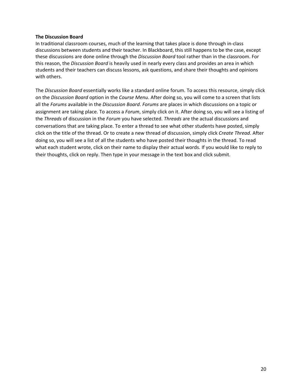#### **The Discussion Board**

In traditional classroom courses, much of the learning that takes place is done through in‐class discussions between students and their teacher. In Blackboard, this still happens to be the case, except these discussions are done online through the *Discussion Board* tool rather than in the classroom. For this reason, the *Discussion Board* is heavily used in nearly every class and provides an area in which students and their teachers can discuss lessons, ask questions, and share their thoughts and opinions with others.

The *Discussion Board* essentially works like a standard online forum. To access this resource, simply click on the *Discussion Board* option in the *Course Menu*. After doing so, you will come to a screen that lists all the *Forums* available in the *Discussion Board*. *Forums* are places in which discussions on a topic or assignment are taking place. To access a *Forum*, simply click on it. After doing so, you will see a listing of the *Threads* of discussion in the *Forum* you have selected. *Threads* are the actual discussions and conversations that are taking place. To enter a thread to see what other students have posted, simply click on the title of the thread. Or to create a new thread of discussion, simply click *Create Thread*. After doing so, you will see a list of all the students who have posted their thoughts in the thread. To read what each student wrote, click on their name to display their actual words. If you would like to reply to their thoughts, click on reply. Then type in your message in the text box and click submit.